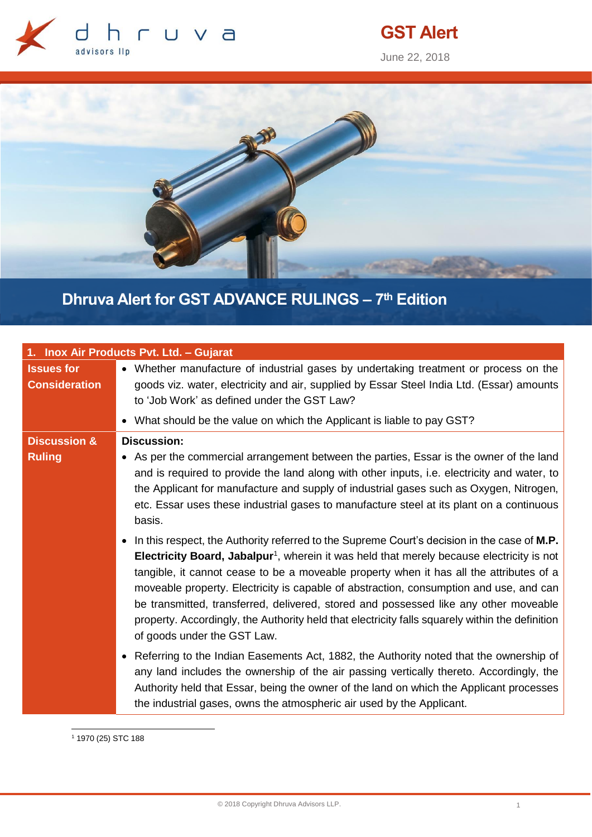

# **GST Alert**

June 22, 2018



## **Dhruva Alert for GST ADVANCE RULINGS – 7 th Edition**

| 1. Inox Air Products Pvt. Ltd. - Gujarat  |                                                                                                                                                                                                                                                                                                                                                                                                                                                                                                                                                                                                                                                                                                                                                                                                                                                                                                                                                                                                                                                                                                                                                                                                                                                                                                                                                                                                      |
|-------------------------------------------|------------------------------------------------------------------------------------------------------------------------------------------------------------------------------------------------------------------------------------------------------------------------------------------------------------------------------------------------------------------------------------------------------------------------------------------------------------------------------------------------------------------------------------------------------------------------------------------------------------------------------------------------------------------------------------------------------------------------------------------------------------------------------------------------------------------------------------------------------------------------------------------------------------------------------------------------------------------------------------------------------------------------------------------------------------------------------------------------------------------------------------------------------------------------------------------------------------------------------------------------------------------------------------------------------------------------------------------------------------------------------------------------------|
| <b>Issues for</b><br><b>Consideration</b> | • Whether manufacture of industrial gases by undertaking treatment or process on the<br>goods viz. water, electricity and air, supplied by Essar Steel India Ltd. (Essar) amounts<br>to 'Job Work' as defined under the GST Law?                                                                                                                                                                                                                                                                                                                                                                                                                                                                                                                                                                                                                                                                                                                                                                                                                                                                                                                                                                                                                                                                                                                                                                     |
|                                           | • What should be the value on which the Applicant is liable to pay GST?                                                                                                                                                                                                                                                                                                                                                                                                                                                                                                                                                                                                                                                                                                                                                                                                                                                                                                                                                                                                                                                                                                                                                                                                                                                                                                                              |
| <b>Discussion &amp;</b><br><b>Ruling</b>  | <b>Discussion:</b><br>• As per the commercial arrangement between the parties, Essar is the owner of the land<br>and is required to provide the land along with other inputs, i.e. electricity and water, to<br>the Applicant for manufacture and supply of industrial gases such as Oxygen, Nitrogen,<br>etc. Essar uses these industrial gases to manufacture steel at its plant on a continuous<br>basis.<br>In this respect, the Authority referred to the Supreme Court's decision in the case of M.P.<br><b>Electricity Board, Jabalpur<sup>1</sup></b> , wherein it was held that merely because electricity is not<br>tangible, it cannot cease to be a moveable property when it has all the attributes of a<br>moveable property. Electricity is capable of abstraction, consumption and use, and can<br>be transmitted, transferred, delivered, stored and possessed like any other moveable<br>property. Accordingly, the Authority held that electricity falls squarely within the definition<br>of goods under the GST Law.<br>• Referring to the Indian Easements Act, 1882, the Authority noted that the ownership of<br>any land includes the ownership of the air passing vertically thereto. Accordingly, the<br>Authority held that Essar, being the owner of the land on which the Applicant processes<br>the industrial gases, owns the atmospheric air used by the Applicant. |

<sup>1</sup> 1970 (25) STC 188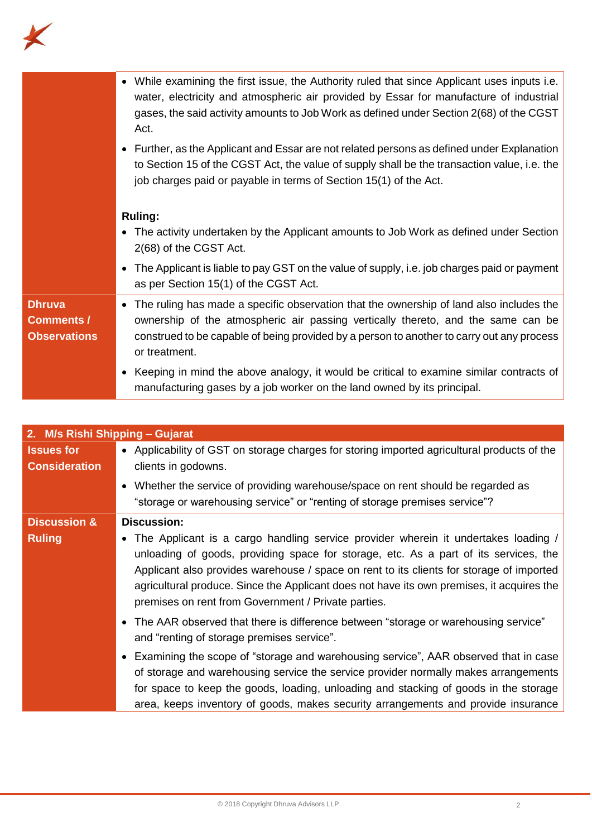

|                                                           | • While examining the first issue, the Authority ruled that since Applicant uses inputs i.e.<br>water, electricity and atmospheric air provided by Essar for manufacture of industrial<br>gases, the said activity amounts to Job Work as defined under Section 2(68) of the CGST<br>Act.<br>Further, as the Applicant and Essar are not related persons as defined under Explanation<br>$\bullet$<br>to Section 15 of the CGST Act, the value of supply shall be the transaction value, i.e. the<br>job charges paid or payable in terms of Section 15(1) of the Act. |
|-----------------------------------------------------------|------------------------------------------------------------------------------------------------------------------------------------------------------------------------------------------------------------------------------------------------------------------------------------------------------------------------------------------------------------------------------------------------------------------------------------------------------------------------------------------------------------------------------------------------------------------------|
|                                                           | <b>Ruling:</b><br>• The activity undertaken by the Applicant amounts to Job Work as defined under Section<br>2(68) of the CGST Act.                                                                                                                                                                                                                                                                                                                                                                                                                                    |
|                                                           | • The Applicant is liable to pay GST on the value of supply, i.e. job charges paid or payment<br>as per Section 15(1) of the CGST Act.                                                                                                                                                                                                                                                                                                                                                                                                                                 |
| <b>Dhruva</b><br><b>Comments /</b><br><b>Observations</b> | • The ruling has made a specific observation that the ownership of land also includes the<br>ownership of the atmospheric air passing vertically thereto, and the same can be<br>construed to be capable of being provided by a person to another to carry out any process<br>or treatment.                                                                                                                                                                                                                                                                            |
|                                                           | • Keeping in mind the above analogy, it would be critical to examine similar contracts of<br>manufacturing gases by a job worker on the land owned by its principal.                                                                                                                                                                                                                                                                                                                                                                                                   |

| 2. M/s Rishi Shipping - Gujarat           |                                                                                                                                                                                                                                                                                                                                                                                                                              |
|-------------------------------------------|------------------------------------------------------------------------------------------------------------------------------------------------------------------------------------------------------------------------------------------------------------------------------------------------------------------------------------------------------------------------------------------------------------------------------|
| <b>Issues for</b><br><b>Consideration</b> | • Applicability of GST on storage charges for storing imported agricultural products of the<br>clients in godowns.                                                                                                                                                                                                                                                                                                           |
|                                           | • Whether the service of providing warehouse/space on rent should be regarded as<br>"storage or warehousing service" or "renting of storage premises service"?                                                                                                                                                                                                                                                               |
| <b>Discussion &amp;</b>                   | <b>Discussion:</b>                                                                                                                                                                                                                                                                                                                                                                                                           |
| <b>Ruling</b>                             | • The Applicant is a cargo handling service provider wherein it undertakes loading /<br>unloading of goods, providing space for storage, etc. As a part of its services, the<br>Applicant also provides warehouse / space on rent to its clients for storage of imported<br>agricultural produce. Since the Applicant does not have its own premises, it acquires the<br>premises on rent from Government / Private parties. |
|                                           | • The AAR observed that there is difference between "storage or warehousing service"<br>and "renting of storage premises service".                                                                                                                                                                                                                                                                                           |
|                                           | • Examining the scope of "storage and warehousing service", AAR observed that in case                                                                                                                                                                                                                                                                                                                                        |
|                                           | of storage and warehousing service the service provider normally makes arrangements                                                                                                                                                                                                                                                                                                                                          |
|                                           | for space to keep the goods, loading, unloading and stacking of goods in the storage                                                                                                                                                                                                                                                                                                                                         |
|                                           | area, keeps inventory of goods, makes security arrangements and provide insurance                                                                                                                                                                                                                                                                                                                                            |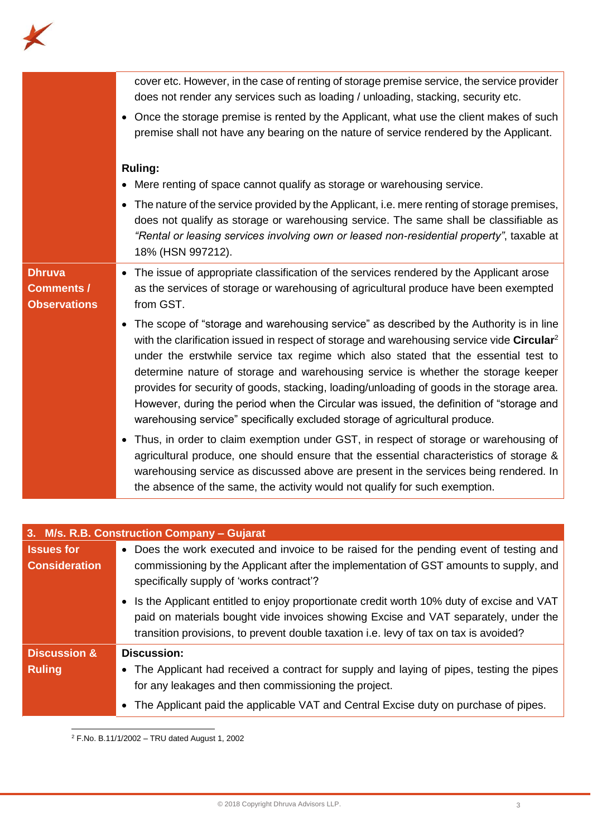

|                                                           | cover etc. However, in the case of renting of storage premise service, the service provider<br>does not render any services such as loading / unloading, stacking, security etc.                                                                                                                                                                                                                                                                                                                                                                                                                                                                       |
|-----------------------------------------------------------|--------------------------------------------------------------------------------------------------------------------------------------------------------------------------------------------------------------------------------------------------------------------------------------------------------------------------------------------------------------------------------------------------------------------------------------------------------------------------------------------------------------------------------------------------------------------------------------------------------------------------------------------------------|
|                                                           | • Once the storage premise is rented by the Applicant, what use the client makes of such<br>premise shall not have any bearing on the nature of service rendered by the Applicant.                                                                                                                                                                                                                                                                                                                                                                                                                                                                     |
|                                                           | <b>Ruling:</b><br>• Mere renting of space cannot qualify as storage or warehousing service.                                                                                                                                                                                                                                                                                                                                                                                                                                                                                                                                                            |
|                                                           | • The nature of the service provided by the Applicant, i.e. mere renting of storage premises,<br>does not qualify as storage or warehousing service. The same shall be classifiable as<br>"Rental or leasing services involving own or leased non-residential property", taxable at<br>18% (HSN 997212).                                                                                                                                                                                                                                                                                                                                               |
| <b>Dhruva</b><br><b>Comments /</b><br><b>Observations</b> | • The issue of appropriate classification of the services rendered by the Applicant arose<br>as the services of storage or warehousing of agricultural produce have been exempted<br>from GST.                                                                                                                                                                                                                                                                                                                                                                                                                                                         |
|                                                           | • The scope of "storage and warehousing service" as described by the Authority is in line<br>with the clarification issued in respect of storage and warehousing service vide Circular <sup>2</sup><br>under the erstwhile service tax regime which also stated that the essential test to<br>determine nature of storage and warehousing service is whether the storage keeper<br>provides for security of goods, stacking, loading/unloading of goods in the storage area.<br>However, during the period when the Circular was issued, the definition of "storage and<br>warehousing service" specifically excluded storage of agricultural produce. |
|                                                           | • Thus, in order to claim exemption under GST, in respect of storage or warehousing of<br>agricultural produce, one should ensure that the essential characteristics of storage &<br>warehousing service as discussed above are present in the services being rendered. In<br>the absence of the same, the activity would not qualify for such exemption.                                                                                                                                                                                                                                                                                              |

| 3. M/s. R.B. Construction Company - Gujarat |                                                                                                                                                                                                                                                                            |
|---------------------------------------------|----------------------------------------------------------------------------------------------------------------------------------------------------------------------------------------------------------------------------------------------------------------------------|
| <b>Issues for</b>                           | • Does the work executed and invoice to be raised for the pending event of testing and                                                                                                                                                                                     |
| <b>Consideration</b>                        | commissioning by the Applicant after the implementation of GST amounts to supply, and<br>specifically supply of 'works contract'?                                                                                                                                          |
|                                             | • Is the Applicant entitled to enjoy proportionate credit worth 10% duty of excise and VAT<br>paid on materials bought vide invoices showing Excise and VAT separately, under the<br>transition provisions, to prevent double taxation i.e. levy of tax on tax is avoided? |
| <b>Discussion &amp;</b>                     | <b>Discussion:</b>                                                                                                                                                                                                                                                         |
| <b>Ruling</b>                               | • The Applicant had received a contract for supply and laying of pipes, testing the pipes<br>for any leakages and then commissioning the project.                                                                                                                          |
|                                             | • The Applicant paid the applicable VAT and Central Excise duty on purchase of pipes.                                                                                                                                                                                      |

 $2$  F.No. B.11/1/2002 – TRU dated August 1, 2002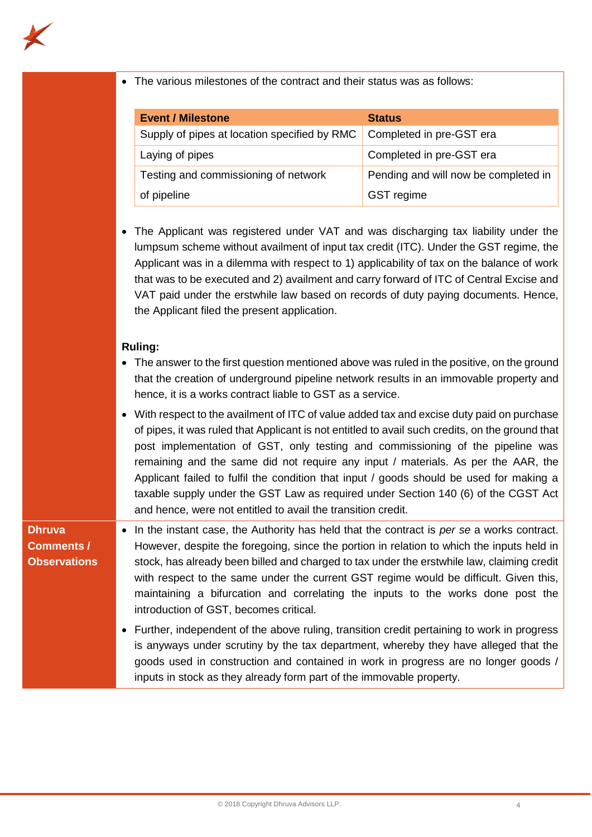

• The various milestones of the contract and their status was as follows:

| <b>Event / Milestone</b>                     | <b>Status</b>                        |
|----------------------------------------------|--------------------------------------|
| Supply of pipes at location specified by RMC | Completed in pre-GST era             |
| Laying of pipes                              | Completed in pre-GST era             |
| Testing and commissioning of network         | Pending and will now be completed in |
| of pipeline                                  | GST regime                           |

• The Applicant was registered under VAT and was discharging tax liability under the lumpsum scheme without availment of input tax credit (ITC). Under the GST regime, the Applicant was in a dilemma with respect to 1) applicability of tax on the balance of work that was to be executed and 2) availment and carry forward of ITC of Central Excise and VAT paid under the erstwhile law based on records of duty paying documents. Hence, the Applicant filed the present application.

### **Ruling:**

- The answer to the first question mentioned above was ruled in the positive, on the ground that the creation of underground pipeline network results in an immovable property and hence, it is a works contract liable to GST as a service.
- With respect to the availment of ITC of value added tax and excise duty paid on purchase of pipes, it was ruled that Applicant is not entitled to avail such credits, on the ground that post implementation of GST, only testing and commissioning of the pipeline was remaining and the same did not require any input / materials. As per the AAR, the Applicant failed to fulfil the condition that input / goods should be used for making a taxable supply under the GST Law as required under Section 140 (6) of the CGST Act and hence, were not entitled to avail the transition credit.

## **Dhruva Comments / Observations**

- In the instant case, the Authority has held that the contract is *per se* a works contract. However, despite the foregoing, since the portion in relation to which the inputs held in stock, has already been billed and charged to tax under the erstwhile law, claiming credit with respect to the same under the current GST regime would be difficult. Given this, maintaining a bifurcation and correlating the inputs to the works done post the introduction of GST, becomes critical.
	- Further, independent of the above ruling, transition credit pertaining to work in progress is anyways under scrutiny by the tax department, whereby they have alleged that the goods used in construction and contained in work in progress are no longer goods / inputs in stock as they already form part of the immovable property.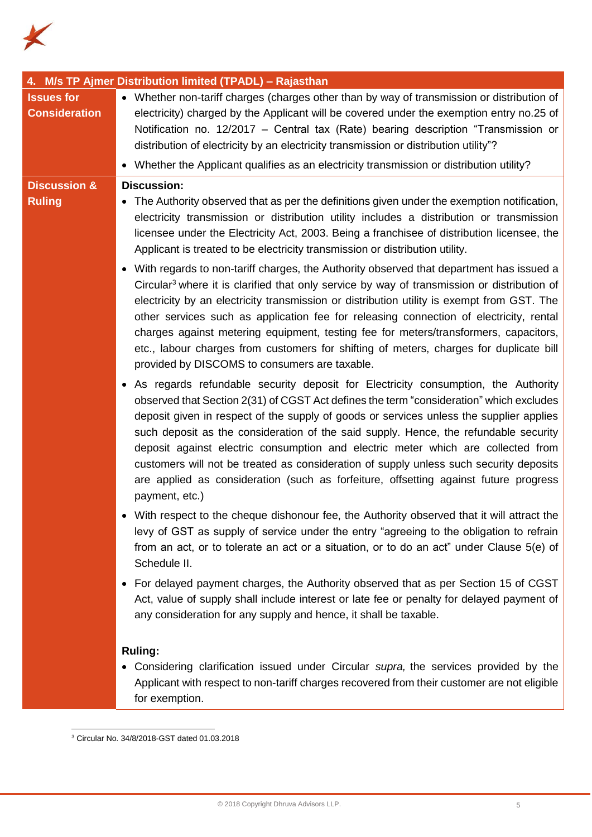

|                                           | 4. M/s TP Ajmer Distribution limited (TPADL) - Rajasthan                                                                                                                                                                                                                                                                                                                                                                                                                                                                                                                                                                                                  |
|-------------------------------------------|-----------------------------------------------------------------------------------------------------------------------------------------------------------------------------------------------------------------------------------------------------------------------------------------------------------------------------------------------------------------------------------------------------------------------------------------------------------------------------------------------------------------------------------------------------------------------------------------------------------------------------------------------------------|
| <b>Issues for</b><br><b>Consideration</b> | • Whether non-tariff charges (charges other than by way of transmission or distribution of<br>electricity) charged by the Applicant will be covered under the exemption entry no.25 of<br>Notification no. 12/2017 – Central tax (Rate) bearing description "Transmission or<br>distribution of electricity by an electricity transmission or distribution utility"?<br>• Whether the Applicant qualifies as an electricity transmission or distribution utility?                                                                                                                                                                                         |
| <b>Discussion &amp;</b>                   | <b>Discussion:</b>                                                                                                                                                                                                                                                                                                                                                                                                                                                                                                                                                                                                                                        |
| <b>Ruling</b>                             | • The Authority observed that as per the definitions given under the exemption notification,<br>electricity transmission or distribution utility includes a distribution or transmission<br>licensee under the Electricity Act, 2003. Being a franchisee of distribution licensee, the<br>Applicant is treated to be electricity transmission or distribution utility.                                                                                                                                                                                                                                                                                    |
|                                           | • With regards to non-tariff charges, the Authority observed that department has issued a<br>Circular <sup>3</sup> where it is clarified that only service by way of transmission or distribution of<br>electricity by an electricity transmission or distribution utility is exempt from GST. The<br>other services such as application fee for releasing connection of electricity, rental<br>charges against metering equipment, testing fee for meters/transformers, capacitors,<br>etc., labour charges from customers for shifting of meters, charges for duplicate bill<br>provided by DISCOMS to consumers are taxable.                           |
|                                           | • As regards refundable security deposit for Electricity consumption, the Authority<br>observed that Section 2(31) of CGST Act defines the term "consideration" which excludes<br>deposit given in respect of the supply of goods or services unless the supplier applies<br>such deposit as the consideration of the said supply. Hence, the refundable security<br>deposit against electric consumption and electric meter which are collected from<br>customers will not be treated as consideration of supply unless such security deposits<br>are applied as consideration (such as forfeiture, offsetting against future progress<br>payment, etc.) |
|                                           | With respect to the cheque dishonour fee, the Authority observed that it will attract the<br>levy of GST as supply of service under the entry "agreeing to the obligation to refrain<br>from an act, or to tolerate an act or a situation, or to do an act" under Clause 5(e) of<br>Schedule II.                                                                                                                                                                                                                                                                                                                                                          |
|                                           | • For delayed payment charges, the Authority observed that as per Section 15 of CGST<br>Act, value of supply shall include interest or late fee or penalty for delayed payment of<br>any consideration for any supply and hence, it shall be taxable.                                                                                                                                                                                                                                                                                                                                                                                                     |
|                                           | <b>Ruling:</b><br>• Considering clarification issued under Circular supra, the services provided by the<br>Applicant with respect to non-tariff charges recovered from their customer are not eligible<br>for exemption.                                                                                                                                                                                                                                                                                                                                                                                                                                  |

<sup>3</sup> Circular No. 34/8/2018-GST dated 01.03.2018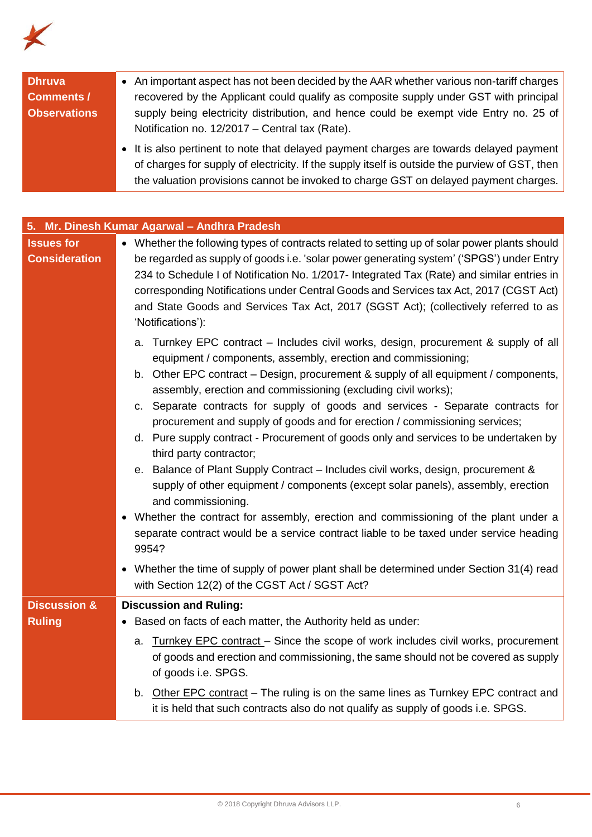

| <b>Dhruva</b><br><b>Comments /</b><br><b>Observations</b> | • An important aspect has not been decided by the AAR whether various non-tariff charges<br>recovered by the Applicant could qualify as composite supply under GST with principal<br>supply being electricity distribution, and hence could be exempt vide Entry no. 25 of<br>Notification no. 12/2017 - Central tax (Rate).<br>• It is also pertinent to note that delayed payment charges are towards delayed payment<br>of charges for supply of electricity. If the supply itself is outside the purview of GST, then<br>the valuation provisions cannot be invoked to charge GST on delayed payment charges.                                                                                                                                                                                                                                                                                                                                                                                                                                                                                                                    |
|-----------------------------------------------------------|--------------------------------------------------------------------------------------------------------------------------------------------------------------------------------------------------------------------------------------------------------------------------------------------------------------------------------------------------------------------------------------------------------------------------------------------------------------------------------------------------------------------------------------------------------------------------------------------------------------------------------------------------------------------------------------------------------------------------------------------------------------------------------------------------------------------------------------------------------------------------------------------------------------------------------------------------------------------------------------------------------------------------------------------------------------------------------------------------------------------------------------|
| 5.                                                        | Mr. Dinesh Kumar Agarwal - Andhra Pradesh                                                                                                                                                                                                                                                                                                                                                                                                                                                                                                                                                                                                                                                                                                                                                                                                                                                                                                                                                                                                                                                                                            |
| <b>Issues for</b><br><b>Consideration</b>                 | • Whether the following types of contracts related to setting up of solar power plants should<br>be regarded as supply of goods i.e. 'solar power generating system' ('SPGS') under Entry<br>234 to Schedule I of Notification No. 1/2017- Integrated Tax (Rate) and similar entries in<br>corresponding Notifications under Central Goods and Services tax Act, 2017 (CGST Act)<br>and State Goods and Services Tax Act, 2017 (SGST Act); (collectively referred to as<br>'Notifications'):                                                                                                                                                                                                                                                                                                                                                                                                                                                                                                                                                                                                                                         |
|                                                           | a. Turnkey EPC contract – Includes civil works, design, procurement & supply of all<br>equipment / components, assembly, erection and commissioning;<br>b. Other EPC contract – Design, procurement & supply of all equipment / components,<br>assembly, erection and commissioning (excluding civil works);<br>c. Separate contracts for supply of goods and services - Separate contracts for<br>procurement and supply of goods and for erection / commissioning services;<br>d. Pure supply contract - Procurement of goods only and services to be undertaken by<br>third party contractor;<br>e. Balance of Plant Supply Contract - Includes civil works, design, procurement &<br>supply of other equipment / components (except solar panels), assembly, erection<br>and commissioning.<br>Whether the contract for assembly, erection and commissioning of the plant under a<br>separate contract would be a service contract liable to be taxed under service heading<br>9954?<br>Whether the time of supply of power plant shall be determined under Section 31(4) read<br>with Section 12(2) of the CGST Act / SGST Act? |
| <b>Discussion &amp;</b>                                   | <b>Discussion and Ruling:</b>                                                                                                                                                                                                                                                                                                                                                                                                                                                                                                                                                                                                                                                                                                                                                                                                                                                                                                                                                                                                                                                                                                        |
| <b>Ruling</b>                                             | Based on facts of each matter, the Authority held as under:                                                                                                                                                                                                                                                                                                                                                                                                                                                                                                                                                                                                                                                                                                                                                                                                                                                                                                                                                                                                                                                                          |
|                                                           | Turnkey EPC contract – Since the scope of work includes civil works, procurement<br>a.<br>of goods and erection and commissioning, the same should not be covered as supply<br>of goods i.e. SPGS.                                                                                                                                                                                                                                                                                                                                                                                                                                                                                                                                                                                                                                                                                                                                                                                                                                                                                                                                   |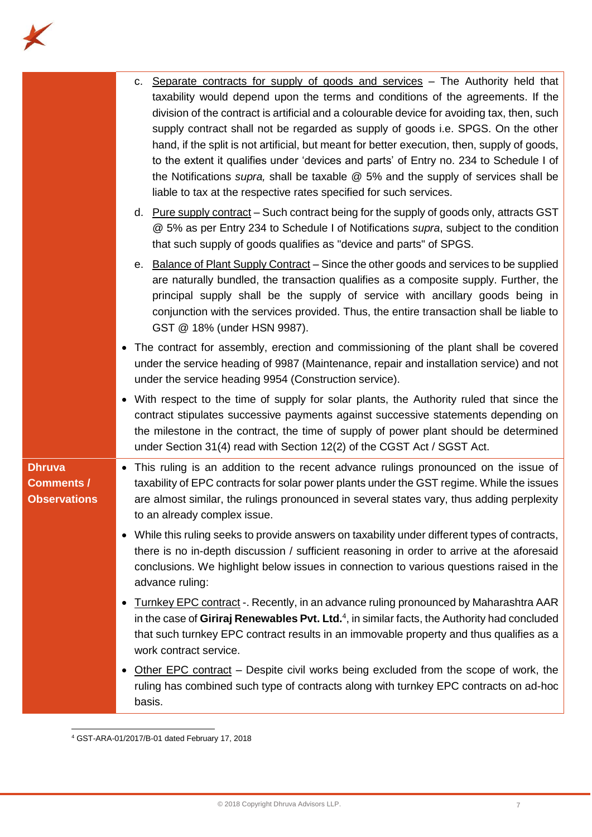

|                                                           | c. Separate contracts for supply of goods and services – The Authority held that<br>taxability would depend upon the terms and conditions of the agreements. If the<br>division of the contract is artificial and a colourable device for avoiding tax, then, such<br>supply contract shall not be regarded as supply of goods i.e. SPGS. On the other<br>hand, if the split is not artificial, but meant for better execution, then, supply of goods,<br>to the extent it qualifies under 'devices and parts' of Entry no. 234 to Schedule I of<br>the Notifications supra, shall be taxable $@$ 5% and the supply of services shall be<br>liable to tax at the respective rates specified for such services.<br>d. Pure supply contract – Such contract being for the supply of goods only, attracts GST<br>@ 5% as per Entry 234 to Schedule I of Notifications supra, subject to the condition<br>that such supply of goods qualifies as "device and parts" of SPGS.<br>e. Balance of Plant Supply Contract - Since the other goods and services to be supplied<br>are naturally bundled, the transaction qualifies as a composite supply. Further, the |
|-----------------------------------------------------------|-------------------------------------------------------------------------------------------------------------------------------------------------------------------------------------------------------------------------------------------------------------------------------------------------------------------------------------------------------------------------------------------------------------------------------------------------------------------------------------------------------------------------------------------------------------------------------------------------------------------------------------------------------------------------------------------------------------------------------------------------------------------------------------------------------------------------------------------------------------------------------------------------------------------------------------------------------------------------------------------------------------------------------------------------------------------------------------------------------------------------------------------------------------|
|                                                           | principal supply shall be the supply of service with ancillary goods being in<br>conjunction with the services provided. Thus, the entire transaction shall be liable to<br>GST @ 18% (under HSN 9987).                                                                                                                                                                                                                                                                                                                                                                                                                                                                                                                                                                                                                                                                                                                                                                                                                                                                                                                                                     |
|                                                           | • The contract for assembly, erection and commissioning of the plant shall be covered<br>under the service heading of 9987 (Maintenance, repair and installation service) and not<br>under the service heading 9954 (Construction service).                                                                                                                                                                                                                                                                                                                                                                                                                                                                                                                                                                                                                                                                                                                                                                                                                                                                                                                 |
|                                                           | • With respect to the time of supply for solar plants, the Authority ruled that since the<br>contract stipulates successive payments against successive statements depending on<br>the milestone in the contract, the time of supply of power plant should be determined<br>under Section 31(4) read with Section 12(2) of the CGST Act / SGST Act.                                                                                                                                                                                                                                                                                                                                                                                                                                                                                                                                                                                                                                                                                                                                                                                                         |
| <b>Dhruva</b><br><b>Comments /</b><br><b>Observations</b> | • This ruling is an addition to the recent advance rulings pronounced on the issue of<br>taxability of EPC contracts for solar power plants under the GST regime. While the issues<br>are almost similar, the rulings pronounced in several states vary, thus adding perplexity<br>to an already complex issue.                                                                                                                                                                                                                                                                                                                                                                                                                                                                                                                                                                                                                                                                                                                                                                                                                                             |
|                                                           | • While this ruling seeks to provide answers on taxability under different types of contracts,<br>there is no in-depth discussion / sufficient reasoning in order to arrive at the aforesaid<br>conclusions. We highlight below issues in connection to various questions raised in the<br>advance ruling:                                                                                                                                                                                                                                                                                                                                                                                                                                                                                                                                                                                                                                                                                                                                                                                                                                                  |
|                                                           | Turnkey EPC contract -. Recently, in an advance ruling pronounced by Maharashtra AAR<br>in the case of Giriraj Renewables Pvt. Ltd. $4$ , in similar facts, the Authority had concluded<br>that such turnkey EPC contract results in an immovable property and thus qualifies as a<br>work contract service.                                                                                                                                                                                                                                                                                                                                                                                                                                                                                                                                                                                                                                                                                                                                                                                                                                                |
|                                                           | Other EPC contract - Despite civil works being excluded from the scope of work, the<br>ruling has combined such type of contracts along with turnkey EPC contracts on ad-hoc<br>basis.                                                                                                                                                                                                                                                                                                                                                                                                                                                                                                                                                                                                                                                                                                                                                                                                                                                                                                                                                                      |

<sup>4</sup> GST-ARA-01/2017/B-01 dated February 17, 2018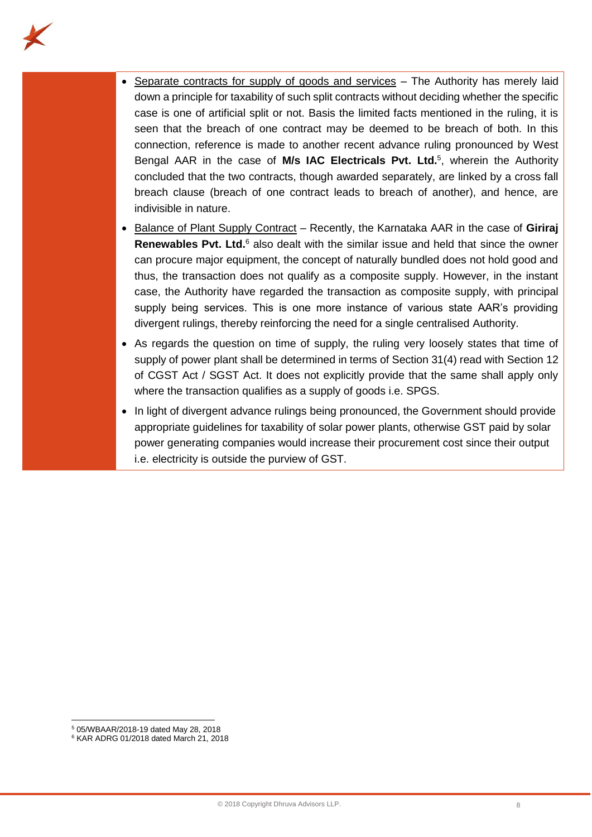

- Separate contracts for supply of goods and services The Authority has merely laid down a principle for taxability of such split contracts without deciding whether the specific case is one of artificial split or not. Basis the limited facts mentioned in the ruling, it is seen that the breach of one contract may be deemed to be breach of both. In this connection, reference is made to another recent advance ruling pronounced by West Bengal AAR in the case of **M/s IAC Electricals Pvt. Ltd.**<sup>5</sup> , wherein the Authority concluded that the two contracts, though awarded separately, are linked by a cross fall breach clause (breach of one contract leads to breach of another), and hence, are indivisible in nature.
- Balance of Plant Supply Contract Recently, the Karnataka AAR in the case of **Giriraj Renewables Pvt. Ltd.**<sup>6</sup> also dealt with the similar issue and held that since the owner can procure major equipment, the concept of naturally bundled does not hold good and thus, the transaction does not qualify as a composite supply. However, in the instant case, the Authority have regarded the transaction as composite supply, with principal supply being services. This is one more instance of various state AAR's providing divergent rulings, thereby reinforcing the need for a single centralised Authority.
- As regards the question on time of supply, the ruling very loosely states that time of supply of power plant shall be determined in terms of Section 31(4) read with Section 12 of CGST Act / SGST Act. It does not explicitly provide that the same shall apply only where the transaction qualifies as a supply of goods i.e. SPGS.
- In light of divergent advance rulings being pronounced, the Government should provide appropriate guidelines for taxability of solar power plants, otherwise GST paid by solar power generating companies would increase their procurement cost since their output i.e. electricity is outside the purview of GST.

<sup>5</sup> 05/WBAAR/2018-19 dated May 28, 2018

<sup>6</sup> KAR ADRG 01/2018 dated March 21, 2018